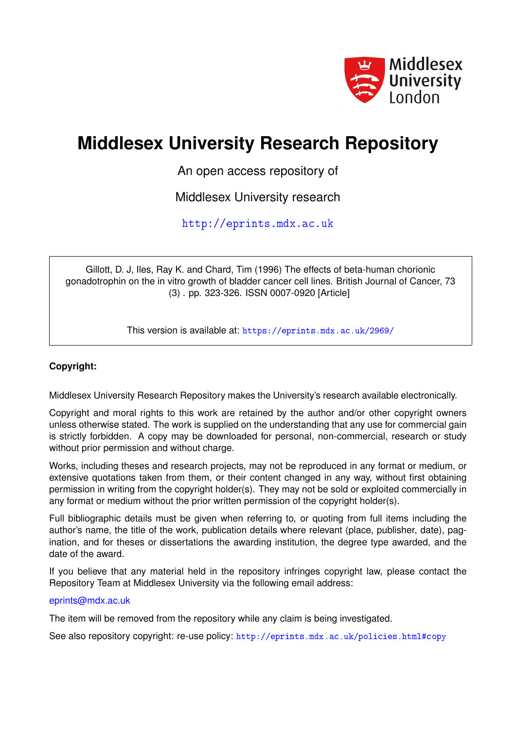

# **Middlesex University Research Repository**

An open access repository of

Middlesex University research

<http://eprints.mdx.ac.uk>

Gillott, D. J, Iles, Ray K. and Chard, Tim (1996) The effects of beta-human chorionic gonadotrophin on the in vitro growth of bladder cancer cell lines. British Journal of Cancer, 73 (3) . pp. 323-326. ISSN 0007-0920 [Article]

This version is available at: <https://eprints.mdx.ac.uk/2969/>

# **Copyright:**

Middlesex University Research Repository makes the University's research available electronically.

Copyright and moral rights to this work are retained by the author and/or other copyright owners unless otherwise stated. The work is supplied on the understanding that any use for commercial gain is strictly forbidden. A copy may be downloaded for personal, non-commercial, research or study without prior permission and without charge.

Works, including theses and research projects, may not be reproduced in any format or medium, or extensive quotations taken from them, or their content changed in any way, without first obtaining permission in writing from the copyright holder(s). They may not be sold or exploited commercially in any format or medium without the prior written permission of the copyright holder(s).

Full bibliographic details must be given when referring to, or quoting from full items including the author's name, the title of the work, publication details where relevant (place, publisher, date), pagination, and for theses or dissertations the awarding institution, the degree type awarded, and the date of the award.

If you believe that any material held in the repository infringes copyright law, please contact the Repository Team at Middlesex University via the following email address:

## [eprints@mdx.ac.uk](mailto:eprints@mdx.ac.uk)

The item will be removed from the repository while any claim is being investigated.

See also repository copyright: re-use policy: <http://eprints.mdx.ac.uk/policies.html#copy>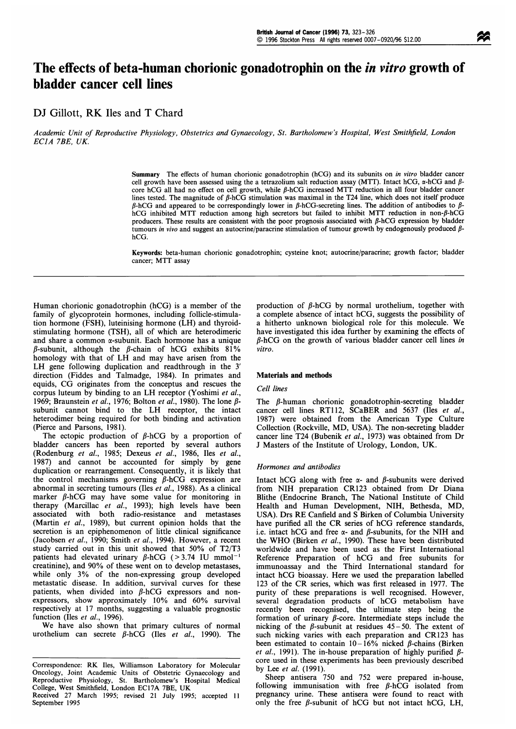# The effects of beta-human chorionic gonadotrophin on the *in vitro* growth of bladder cancer cell lines

### DJ Gillott, RK Iles and T Chard

Academic Unit of Reproductive Physiology, Obstetrics and Gynaecology, St. Bartholomew's Hospital, West Smithfield, London ECIA 7BE, UK.

> Summary The effects of human chorionic gonadotrophin (hCG) and its subunits on in vitro bladder cancer cell growth have been assessed using the a tetrazolium salt reduction assay (MTT). Intact hCG,  $\alpha$ -hCG and  $\beta$ core hCG all had no effect on cell growth, while  $\beta$ -hCG increased MTT reduction in all four bladder cancer lines tested. The magnitude of  $\beta$ -hCG stimulation was maximal in the T24 line, which does not itself produce  $\beta$ -hCG and appeared to be correspondingly lower in  $\beta$ -hCG-secreting lines. The addition of antibodies to  $\beta$ hCG inhibited MTT reduction among high secretors but failed to inhibit MTT reduction in non- $\beta$ -hCG producers. These results are consistent with the poor prognosis associated with  $\beta$ -hCG expression by bladder tumours in vivo and suggest an autocrine/paracrine stimulation of tumour growth by endogenously produced  $\beta$ hCG.

> Keywords: beta-human chorionic gonadotrophin; cysteine knot; autocrine/paracrine; growth factor; bladder cancer; MTT assay

Human chorionic gonadotrophin (hCG) is <sup>a</sup> member of the family of glycoprotein hormones, including follicle-stimulation hormone (FSH), luteinising hormone (LH) and thyroidstimulating hormone (TSH), all of which are heterodimeric and share a common  $\alpha$ -subunit. Each hormone has a unique  $\beta$ -subunit, although the  $\beta$ -chain of hCG exhibits 81% homology with that of LH and may have arisen from the LH gene following duplication and readthrough in the <sup>3</sup>' direction (Fiddes and Talmadge, 1984). In primates and equids, CG originates from the conceptus and rescues the corpus luteum by binding to an LH receptor (Yoshimi et al., 1969; Braunstein et al., 1976; Bolton et al., 1980). The lone  $\beta$ subunit cannot bind to the LH receptor, the intact heterodimer being required for both binding and activation (Pierce and Parsons, 1981).

The ectopic production of  $\beta$ -hCG by a proportion of bladder cancers has been reported by several authors (Rodenburg et al., 1985; Dexeus et al., 1986, Iles et al., 1987) and cannot be accounted for simply by gene duplication or rearrangement. Consequently, it is likely that the control mechanisms governing  $\beta$ -hCG expression are abnormal in secreting tumours (Iles et al., 1988). As a clinical marker  $\beta$ -hCG may have some value for monitoring in therapy (Marcillac et al., 1993); high levels have been associated with both radio-resistance and metastases (Martin et al., 1989), but current opinion holds that the secretion is an epiphenomenon of little clinical significance (Jacobsen et al., 1990; Smith et al., 1994). However, a recent study carried out in this unit showed that 50% of T2/T3 patients had elevated urinary  $\beta$ -hCG (>3.74 IU mmol<sup>-1</sup> creatinine), and 90% of these went on to develop metastases, while only 3% of the non-expressing group developed metastatic disease. In addition, survival curves for these patients, when divided into  $\beta$ -hCG expressors and nonexpressors, show approximately 10% and 60% survival respectively at 17 months, suggesting a valuable prognostic function (Iles et al., 1996).

We have also shown that primary cultures of normal urothelium can secrete  $\beta$ -hCG (Iles *et al.*, 1990). The

Correspondence: RK Iles, Williamson Laboratory for Molecular Oncology, Joint Academic Units of Obstetric Gynaecology and Reproductive Physiology, St. Bartholomew's Hospital Medical College, West Smithfield, London EC17A 7BE, UK production of  $\beta$ -hCG by normal urothelium, together with a complete absence of intact hCG, suggests the possibility of <sup>a</sup> hitherto unknown biological role for this molecule. We have investigated this idea further by examining the effects of  $\beta$ -hCG on the growth of various bladder cancer cell lines in vitro.

#### Materials and methods

#### Cell lines

The  $\beta$ -human chorionic gonadotrophin-secreting bladder cancer cell lines RT112, SCaBER and 5637 (Iles et al., 1987) were obtained from the American Type Culture Collection (Rockville, MD, USA). The non-secreting bladder cancer line T24 (Bubenik et al., 1973) was obtained from Dr <sup>J</sup> Masters of the Institute of Urology, London, UK.

#### Hormones and antibodies

Intact hCG along with free  $\alpha$ - and  $\beta$ -subunits were derived from NIH preparation CR123 obtained from Dr Diana Blithe (Endocrine Branch, The National Institute of Child Health and Human Development, NIH, Bethesda, MD, USA). Drs RE Canfield and <sup>S</sup> Birken of Columbia University have purified all the CR series of hCG reference standards, i.e. intact hCG and free  $\alpha$ - and  $\beta$ -subunits, for the NIH and the WHO (Birken et al., 1990). These have been distributed worldwide and have been used as the First International Reference Preparation of hCG and free subunits for immunoassay and the Third International standard for intact hCG bioassay. Here we used the preparation labelled <sup>123</sup> of the CR series, which was first released in 1977. The purity of these preparations is well recognised. However, several degradation products of hCG metabolism have recently been recognised, the ultimate step being the formation of urinary  $\beta$ -core. Intermediate steps include the nicking of the  $\beta$ -subunit at residues 45-50. The extent of such nicking varies with each preparation and CR123 has been estimated to contain  $10-16%$  nicked  $\beta$ -chains (Birken et al., 1991). The in-house preparation of highly purified  $\beta$ core used in these experiments has been previously described by Lee et al. (1991).

Sheep antisera 750 and 752 were prepared in-house, following immunisation with free  $\beta$ -hCG isolated from pregnancy urine. These antisera were found to react with only the free  $\beta$ -subunit of hCG but not intact hCG, LH,

Received 27 March 1995; revised 21 July 1995; accepted <sup>11</sup> September 1995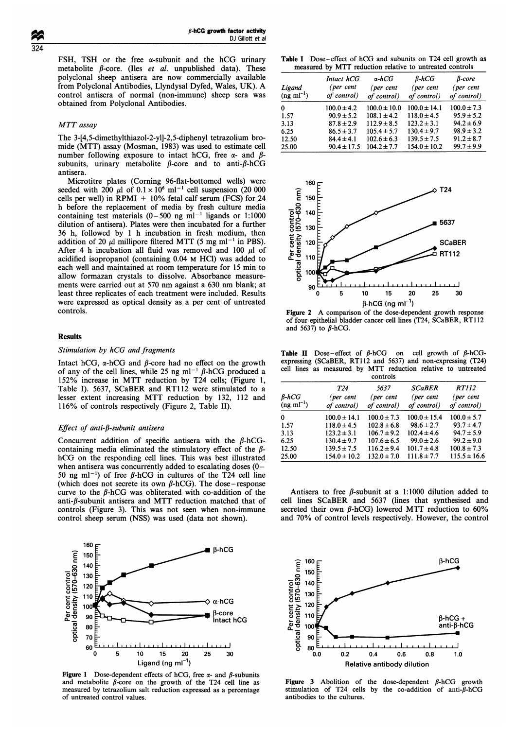FSH, TSH or the free a-subunit and the hCG urinary metabolite  $\beta$ -core. (Iles *et al.* unpublished data). These polyclonal sheep antisera are now commercially available from Polyclonal Antibodies, Llyndysal Dyfed, Wales, UK). A control antisera of normal (non-immune) sheep sera was obtained from Polyclonal Antibodies.

#### MTT assay

The 3-[4,5-dimethylthiazol-2-yl]-2,5-diphenyl tetrazolium bromide (MTT) assay (Mosman, 1983) was used to estimate cell number following exposure to intact hCG, free  $\alpha$ - and  $\beta$ subunits, urinary metabolite  $\beta$ -core and to anti- $\beta$ -hCG antisera.

Microtitre plates (Coming 96-flat-bottomed wells) were seeded with 200  $\mu$ l of  $0.1 \times 10^6$  ml<sup>-1</sup> cell suspension (20 000 cells per well) in RPMI + 10% fetal calf serum (FCS) for 24 h before the replacement of media by fresh culture media containing test materials  $(0-500 \text{ ng ml}^{-1} \text{ ligands or } 1:1000$ dilution of antisera). Plates were then incubated for a further 36 h, followed by <sup>1</sup> h incubation in fresh medium, then addition of 20  $\mu$ l millipore filtered MTT (5 mg ml<sup>-1</sup> in PBS). After 4 h incubation all fluid was removed and 100  $\mu$ l of acidified isopropanol (containing 0.04 M HCI) was added to each well and maintained at room temperature for 15 min to allow formazan crystals to dissolve. Absorbance measurements were carried out at 570 nm against <sup>a</sup> 630 nm blank; at least three replicates of each treatment were included. Results were expressed as optical density as a per cent of untreated controls.

#### Results

#### Stimulation by hCG and fragments

Intact hCG,  $\alpha$ -hCG and  $\beta$ -core had no effect on the growth of any of the cell lines, while 25 ng ml<sup>-1</sup>  $\beta$ -hCG produced a 152% increase in MTT reduction by T24 cells; (Figure 1, Table I). 5637, SCaBER and RT112 were stimulated to a lesser extent increasing MTT reduction by 132, <sup>112</sup> and 116% of controls respectively (Figure 2, Table II).

#### Effect of anti- $\beta$ -subunit antisera

Concurrent addition of specific antisera with the  $\beta$ -hCGcontaining media eliminated the stimulatory effect of the  $\beta$ hCG on the responding cell lines. This was best illustrated when antisera was concurrently added to escalating doses  $(0 -$ 50 ng ml<sup>-1</sup>) of free  $\beta$ -hCG in cultures of the T24 cell line (which does not secrete its own  $\beta$ -hCG). The dose-response curve to the  $\beta$ -hCG was obliterated with co-addition of the anti- $\beta$ -subunit antisera and MTT reduction matched that of controls (Figure 3). This was not seen when non-immune control sheep serum (NSS) was used (data not shown).



Figure 1 Dose-dependent effects of hCG, free  $\alpha$ - and  $\beta$ -subunits and metabolite  $\beta$ -core on the growth of the T24 cell line as measured by tetrazolium salt reduction expressed as a percentage of untreated control values.

Table <sup>I</sup> Dose-effect of hCG and subunits on T24 cell growth as measured by MTT reduction relative to untreated controls

| Ligand<br>$(ng \text{ ml}^{-1})$ | Intact hCG<br>(per cent<br>of control) | $\alpha$ -hCG<br>(per cent<br>of control) | $\beta$ -hCG<br>(per cent<br>of control) | $\beta$ -core<br>(per cent<br>of control) |
|----------------------------------|----------------------------------------|-------------------------------------------|------------------------------------------|-------------------------------------------|
| $\mathbf{0}$                     | $100.0 \pm 4.2$                        | $100.0 \pm 10.0$                          | $100.0 \pm 14.1$                         | $100.0 \pm 7.3$                           |
| 1.57                             | $90.9 \pm 5.2$                         | $108.1 \pm 4.2$                           | $118.0 \pm 4.5$                          | $95.9 \pm 5.2$                            |
| 3.13                             | $87.8 \pm 2.9$                         | $112.9 \pm 8.5$                           | $123.2 \pm 3.1$                          | $94.2 \pm 6.9$                            |
| 6.25                             | $86.5 \pm 3.7$                         | $105.4 \pm 5.7$                           | $130.4 \pm 9.7$                          | $98.9 \pm 3.2$                            |
| 12.50                            | $84.4 \pm 4.1$                         | $102.6 \pm 6.3$                           | $139.5 \pm 7.5$                          | $91.2 \pm 8.7$                            |
| 25.00                            | $90.4 \pm 17.5$                        | $104.2 \pm 7.7$                           | $154.0 \pm 10.2$                         | $99.7 \pm 9.9$                            |



Figure <sup>2</sup> A comparison of the dose-dependent growth response of four epithelial bladder cancer cell lines (T24, SCaBER, RT112 and 5637) to  $\beta$ -hCG.

Table II Dose-effect of  $\beta$ -hCG on cell growth of  $\beta$ -hCGexpressing (SCaBER, RT112 and 5637) and non-expressing (T24) cell lines as measured by MTT reduction relative to untreated

|                                   | controls                 |                          |                          |                             |  |
|-----------------------------------|--------------------------|--------------------------|--------------------------|-----------------------------|--|
|                                   | T <sub>24</sub>          | 5637                     | <b>SCaBER</b>            | <i>RT112</i>                |  |
| $B-hCG$<br>$(ng \text{ ml}^{-1})$ | (per cent<br>of control) | (per cent<br>of control) | (per cent<br>of control) | ( $per$ cent<br>of control) |  |
| 0                                 | $100.0 \pm 14.1$         | $100.0 \pm 7.3$          | $100.0 \pm 15.4$         | $100.0 \pm 5.7$             |  |
| 1.57                              | $118.0 \pm 4.5$          | $102.8 \pm 6.8$          | $98.6 \pm 2.7$           | $93.7 \pm 4.7$              |  |
| 3.13                              | $123.2 \pm 3.1$          | $106.7 \pm 9.2$          | $102.4 \pm 4.6$          | $94.7 \pm 5.9$              |  |
| 6.25                              | $130.4 \pm 9.7$          | $107.6 \pm 6.5$          | $99.0 \pm 2.6$           | $99.2 \pm 9.0$              |  |
| 12.50                             | $139.5 \pm 7.5$          | $116.2 \pm 9.4$          | $101.7 \pm 4.8$          | $100.8 \pm 7.3$             |  |
| 25.00                             | $154.0 \pm 10.2$         | $132.0 \pm 7.0$          | $111.8 \pm 7.7$          | $115.5 \pm 16.6$            |  |

Antisera to free  $\beta$ -subunit at a 1:1000 dilution added to cell lines SCaBER and 5637 (lines that synthesised and secreted their own  $\beta$ -hCG) lowered MTT reduction to 60% and 70% of control levels respectively. However, the control



Figure 3 Abolition of the dose-dependent  $\beta$ -hCG growth stimulation of T24 cells by the co-addition of anti- $\beta$ -hCG antibodies to the cultures.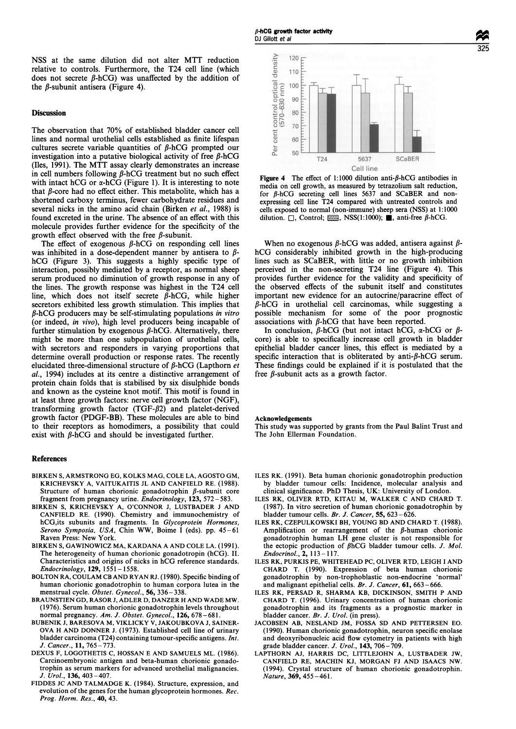#### **Discussion**

The observation that 70% of established bladder cancer cell lines and normal urothelial cells established as finite lifespan cultures secrete variable quantities of  $\beta$ -hCG prompted our investigation into a putative biological activity of free  $\beta$ -hCG (Iles, 1991). The MTT assay clearly demonstrates an increase in cell numbers following  $\beta$ -hCG treatment but no such effect with intact hCG or  $\alpha$ -hCG (Figure 1). It is interesting to note that  $\beta$ -core had no effect either. This metabolite, which has a shortened carboxy terminus, fewer carbohydrate residues and several nicks in the amino acid chain (Birken et al., 1988) is found excreted in the urine. The absence of an effect with this molecule provides further evidence for the specificity of the growth effect observed with the free  $\beta$ -subunit.

The effect of exogenous  $\beta$ -hCG on responding cell lines was inhibited in a dose-dependent manner by antisera to  $\beta$ hCG (Figure 3). This suggests <sup>a</sup> highly specific type of interaction, possibly mediated by a receptor, as normal sheep serum produced no diminution of growth response in any of the lines. The growth response was highest in the T24 cell line, which does not itself secrete  $\beta$ -hCG, while higher secretors exhibited less growth stimulation. This implies that  $\beta$ -hCG producers may be self-stimulating populations in vitro (or indeed, in vivo), high level producers being incapable of further stimulation by exogenous  $\beta$ -hCG. Alternatively, there might be more than one subpopulation of urothelial cells, with secretors and responders in varying proportions that determine overall production or response rates. The recently elucidated three-dimensional structure of  $\beta$ -hCG (Lapthorn et al., 1994) includes at its centre a distinctive arrangement of protein chain folds that is stabilised by six disulphide bonds and known as the cysteine knot motif. This motif is found in at least three growth factors: nerve cell growth factor (NGF), transforming growth factor  $(TGF- $\beta$ 2)$  and platelet-derived growth factor (PDGF-BB). These molecules are able to bind to their receptors as homodimers, a possibility that could exist with  $\beta$ -hCG and should be investigated further.

#### References

- BIRKEN S, ARMSTRONG EG, KOLKS MAG, COLE LA, AGOSTO GM, KRICHEVSKY A, VAITUKAITIS JL AND CANFIELD RE. (1988). Structure of human chorionic gonadotrophin  $\beta$ -subunit core fragment from pregnancy urine. Endocrinology, 123, 572- 583.
- BIRKEN S, KRICHEVSKY A, O'CONNOR J, LUSTBADER <sup>J</sup> AND CANFIELD RE. (1990). Chemistry and immunochemistry of hCG,its subunits and fragments. In Glycoprotein Hormones, Serono Symposia, USA, Chin WW, Boime I (eds). pp. 45-61 Raven Press: New York.
- BIRKEN S, GAWINOWICZ MA, KARDANA A AND COLE LA. (1991). The heterogeneity of human chorionic gonadotropin (hCG). II. Characteristics and origins of nicks in hCG reference standards.  $Endocrinology, 129, 1551 - 1558.$
- BOLTON RA, COULAM CB AND RYAN RJ. (1980). Specific binding of human chorionic gonadotrophin to human corpora lutea in the menstrual cycle. Obstet. Gynecol., 56, 336-338.
- BRAUNSTIEN GD, RASOR J, ADLER D, DANZER H AND WADE MW. (1976). Serum human chorionic gonadotrophin levels throughout normal pregnancy. Am. J. Obstet. Gynecol., 126, 678-681.
- BUBENIK J, BARESOVA M, VIKLICKY V, JAKOUBKOVA J, SAINER-OVA H AND DONNER J. (1973). Established cell line of urinary bladder carcinoma (T24) containing tumour-specific antigens. Int. J. Cancer., 11, 765-773.
- DEXUS F, LOGOTHETIS C, HOSSAN E AND SAMUELS ML. (1986). Carcinoembryonic antigen and beta-human chorionic gonadotrophin as serum markers for advanced urothelial malignancies. J.  $\dot{U}$ rol., 136, 403 – 407.
- FIDDES JC AND TALMADGE K. (1984). Structure, expression, and evolution of the genes for the human glycoprotein hormones. Rec. Prog. Horm. Res., 40, 43.





**Figure 4** The effect of 1:1000 dilution anti- $\beta$ -hCG antibodies in media on cell growth, as measured by tetrazolium salt reduction, for  $\beta$ -hCG secreting cell lines 5637 and SCaBER and nonexpressing cell line T24 compared with untreated controls and cells exposed to normal (non-immune) sheep sera (NSS) at 1:1000 dilution.  $\Box$ , Control;  $\Box$ , NSS(1:1000);  $\Box$ , anti-free  $\beta$ -hCG.

When no exogenous  $\beta$ -hCG was added, antisera against  $\beta$ hCG considerably inhibited growth in the high-producing lines such as SCaBER, with little or no growth inhibition perceived in the non-secreting T24 line (Figure 4). This provides further evidence for the validity and specificity of the observed effects of the subunit itself and constitutes important new evidence for an autocrine/paracrine effect of  $\beta$ -hCG in urothelial cell carcinomas, while suggesting a possible mechanism for some of the poor prognostic associations with  $\beta$ -hCG that have been reported.

In conclusion,  $\beta$ -hCG (but not intact hCG,  $\alpha$ -hCG or  $\beta$ core) is able to specifically increase cell growth in bladder epithelial bladder cancer lines, this effect is mediated by a specific interaction that is obliterated by anti- $\beta$ -hCG serum. These findings could be explained if it is postulated that the free  $\beta$ -subunit acts as a growth factor.

#### Acknowledgements

This study was supported by grants from the Paul Balint Trust and The John Ellerman Foundation.

- ILES RK. (1991). Beta human chorionic gonadotrophin production by bladder tumour cells: Incidence, molecular analysis and clinical significance. PhD Thesis, UK: University of London.
- ILES RK, OLIVER RTD, KITAU M, WALKER C AND CHARD T. (1987). In vitro secretion of human chorionic gonadotrophin by bladder tumour cells. Br. J. Cancer, 55, 623-626.
- ILES RK, CZEPULKOWSKI BH, YOUNG BD AND CHARD T. (1988). Amplification or rearrangement of the  $\beta$ -human chorionic gonadotrophin human LH gene cluster is not responsible for the ectopic production of  $\beta$ hCG bladder tumour cells. J. Mol. Endocrinol., 2, 113 -117.
- ILES RK, PURKIS PE, WHITEHEAD PC, OLIVER RTD, LEIGH <sup>I</sup> AND CHARD T. (1990). Expression of beta human chorionic gonadotrophin by non-trophoblastic non-endocrine 'normal' and malignant epithelial cells. Br. J. Cancer, 61, 663-666.
- ILES RK, PERSAD R, SHARMA KB, DICKINSON, SMITH P AND CHARD T. (1996). Urinary concentration of human chorionic gonadotrophin and its fragments as a prognostic marker in bladder cancer. Br. J. Urol. (in press).
- JACOBSEN AB, NESLAND JM, FOSSA SD AND PETTERSEN EO. (1990). Human chorionic gonadotrophin, neuron specific enolase and deoxyribonucleic acid flow cytometry in patients with high grade bladder cancer. J. Urol., 143, 706-709.
- LAPTHORN AJ, HARRIS DC, LITTLEJOHN A, LUSTBADER JW, CANFIELD RE, MACHIN KJ, MORGAN FJ AND ISAACS NW. (1994). Crystal structure of human chorionic gonadotrophin. Nature, 369, 455-461.